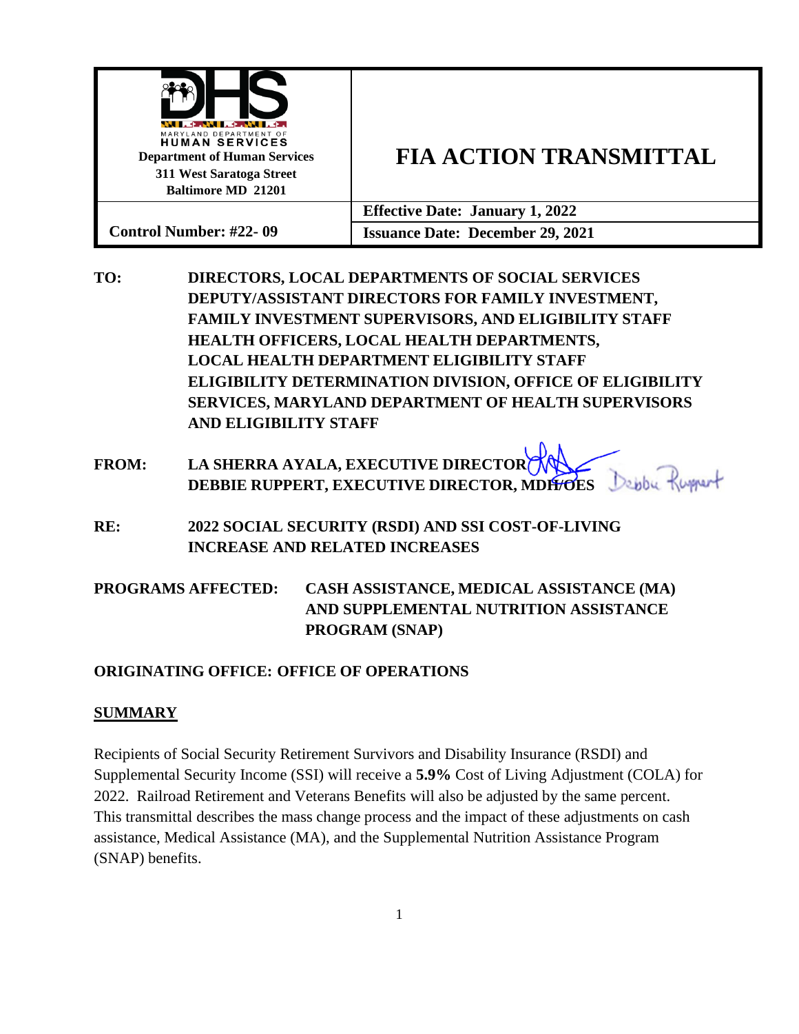| WIL ON HANDLE<br>MARYLAND DEPARTMENT OF<br><b>HUMAN SERVICES</b><br><b>Department of Human Services</b><br>311 West Saratoga Street<br><b>Baltimore MD 21201</b> | <b>FIA ACTION TRANSMITTAL</b>           |
|------------------------------------------------------------------------------------------------------------------------------------------------------------------|-----------------------------------------|
|                                                                                                                                                                  | <b>Effective Date: January 1, 2022</b>  |
| <b>Control Number: #22-09</b>                                                                                                                                    | <b>Issuance Date: December 29, 2021</b> |

**TO: DIRECTORS, LOCAL DEPARTMENTS OF SOCIAL SERVICES DEPUTY/ASSISTANT DIRECTORS FOR FAMILY INVESTMENT, FAMILY INVESTMENT SUPERVISORS, AND ELIGIBILITY STAFF HEALTH OFFICERS, LOCAL HEALTH DEPARTMENTS, LOCAL HEALTH DEPARTMENT ELIGIBILITY STAFF ELIGIBILITY DETERMINATION DIVISION, OFFICE OF ELIGIBILITY SERVICES, MARYLAND DEPARTMENT OF HEALTH SUPERVISORS AND ELIGIBILITY STAFF**

# **FROM: LA SHERRA AYALA, EXECUTIVE DIRECTOR DEBBIE RUPPERT, EXECUTIVE DIRECTOR, MDH/OES**

**RE: 2022 SOCIAL SECURITY (RSDI) AND SSI COST-OF-LIVING INCREASE AND RELATED INCREASES**

# **PROGRAMS AFFECTED: CASH ASSISTANCE, MEDICAL ASSISTANCE (MA) AND SUPPLEMENTAL NUTRITION ASSISTANCE PROGRAM (SNAP)**

# **ORIGINATING OFFICE: OFFICE OF OPERATIONS**

## **SUMMARY**

Recipients of Social Security Retirement Survivors and Disability Insurance (RSDI) and Supplemental Security Income (SSI) will receive a **5.9%** Cost of Living Adjustment (COLA) for 2022. Railroad Retirement and Veterans Benefits will also be adjusted by the same percent. This transmittal describes the mass change process and the impact of these adjustments on cash assistance, Medical Assistance (MA), and the Supplemental Nutrition Assistance Program (SNAP) benefits.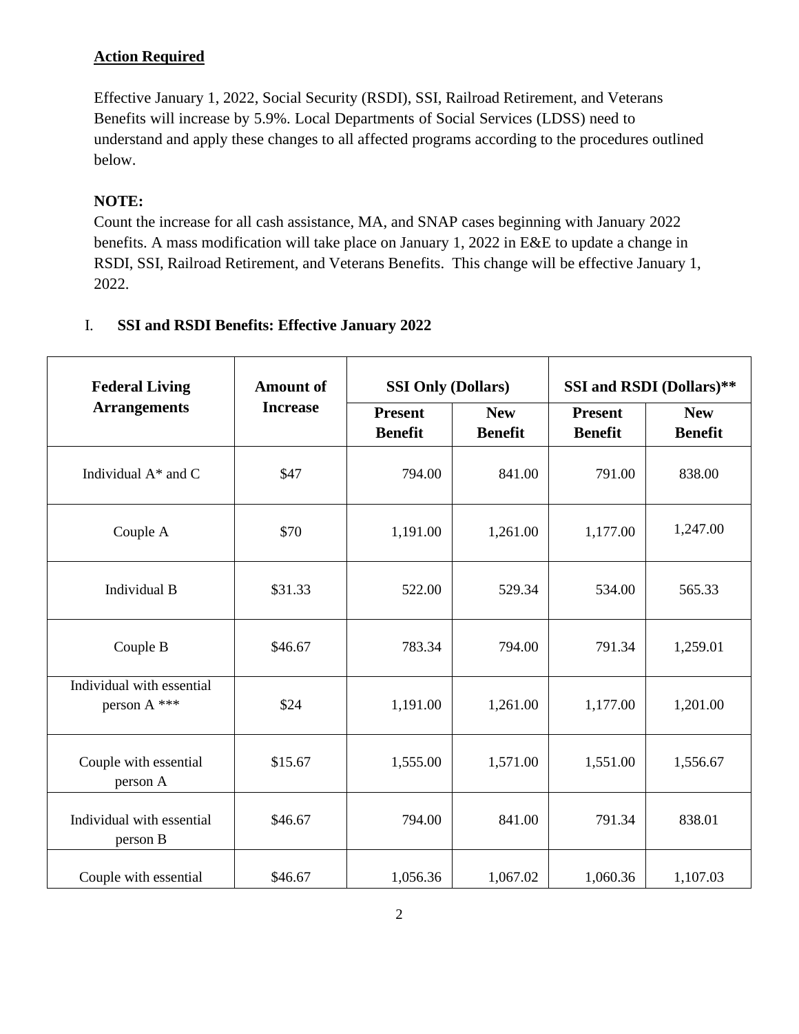# **Action Required**

Effective January 1, 2022, Social Security (RSDI), SSI, Railroad Retirement, and Veterans Benefits will increase by 5.9%. Local Departments of Social Services (LDSS) need to understand and apply these changes to all affected programs according to the procedures outlined below.

# **NOTE:**

Count the increase for all cash assistance, MA, and SNAP cases beginning with January 2022 benefits. A mass modification will take place on January 1, 2022 in E&E to update a change in RSDI, SSI, Railroad Retirement, and Veterans Benefits. This change will be effective January 1, 2022.

# I. **SSI and RSDI Benefits: Effective January 2022**

| <b>Federal Living</b><br><b>Amount</b> of |                                        | <b>SSI Only (Dollars)</b>        |                              | SSI and RSDI (Dollars)**         |                              |
|-------------------------------------------|----------------------------------------|----------------------------------|------------------------------|----------------------------------|------------------------------|
|                                           | <b>Arrangements</b><br><b>Increase</b> | <b>Present</b><br><b>Benefit</b> | <b>New</b><br><b>Benefit</b> | <b>Present</b><br><b>Benefit</b> | <b>New</b><br><b>Benefit</b> |
| Individual $A^*$ and C                    | \$47                                   | 794.00                           | 841.00                       | 791.00                           | 838.00                       |
| Couple A                                  | \$70                                   | 1,191.00                         | 1,261.00                     | 1,177.00                         | 1,247.00                     |
| Individual B                              | \$31.33                                | 522.00                           | 529.34                       | 534.00                           | 565.33                       |
| Couple B                                  | \$46.67                                | 783.34                           | 794.00                       | 791.34                           | 1,259.01                     |
| Individual with essential<br>person A *** | \$24                                   | 1,191.00                         | 1,261.00                     | 1,177.00                         | 1,201.00                     |
| Couple with essential<br>person A         | \$15.67                                | 1,555.00                         | 1,571.00                     | 1,551.00                         | 1,556.67                     |
| Individual with essential<br>person B     | \$46.67                                | 794.00                           | 841.00                       | 791.34                           | 838.01                       |
| Couple with essential                     | \$46.67                                | 1,056.36                         | 1,067.02                     | 1,060.36                         | 1,107.03                     |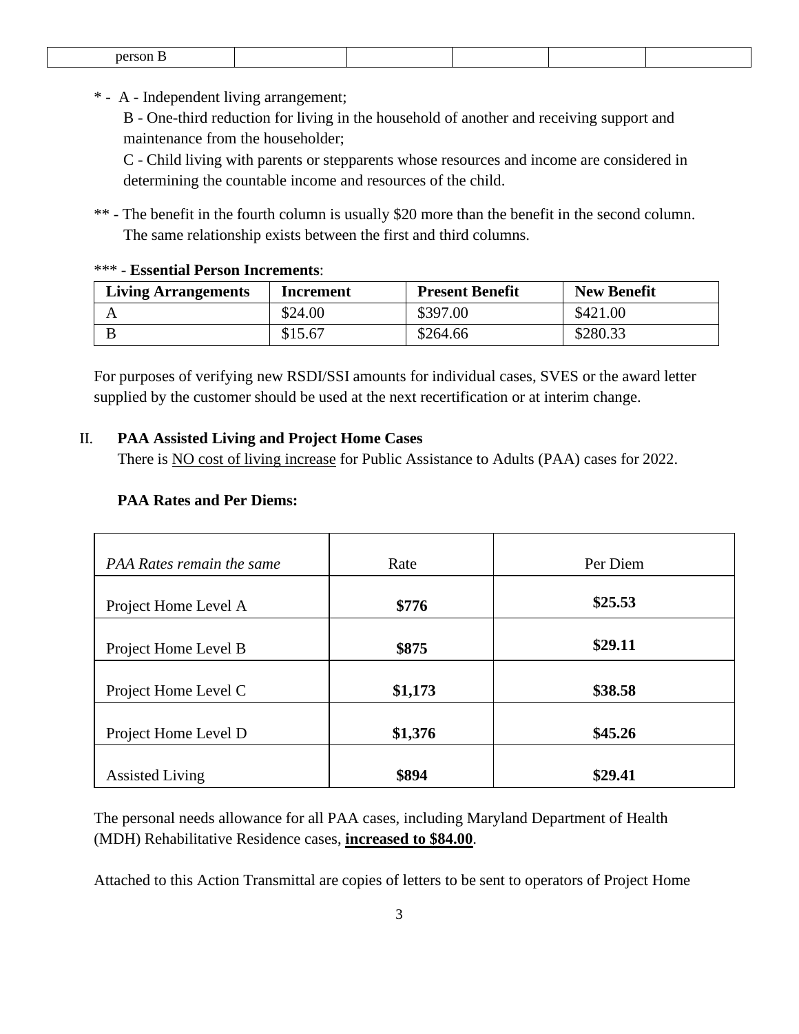| °∝∩r |  |  |  |
|------|--|--|--|
|      |  |  |  |

\* - A - Independent living arrangement;

B - One-third reduction for living in the household of another and receiving support and maintenance from the householder;

C - Child living with parents or stepparents whose resources and income are considered in determining the countable income and resources of the child.

\*\* - The benefit in the fourth column is usually \$20 more than the benefit in the second column. The same relationship exists between the first and third columns.

#### \*\*\* - **Essential Person Increments**:

| <b>Living Arrangements</b> | Increment | <b>Present Benefit</b> | <b>New Benefit</b> |
|----------------------------|-----------|------------------------|--------------------|
|                            | \$24.00   | \$397.00               | \$421.00           |
|                            | \$15.67   | \$264.66               | \$280.33           |

For purposes of verifying new RSDI/SSI amounts for individual cases, SVES or the award letter supplied by the customer should be used at the next recertification or at interim change.

### II. **PAA Assisted Living and Project Home Cases**

There is NO cost of living increase for Public Assistance to Adults (PAA) cases for 2022.

### **PAA Rates and Per Diems:**

| PAA Rates remain the same | Rate    | Per Diem |
|---------------------------|---------|----------|
| Project Home Level A      | \$776   | \$25.53  |
| Project Home Level B      | \$875   | \$29.11  |
| Project Home Level C      | \$1,173 | \$38.58  |
| Project Home Level D      | \$1,376 | \$45.26  |
| <b>Assisted Living</b>    | \$894   | \$29.41  |

The personal needs allowance for all PAA cases, including Maryland Department of Health (MDH) Rehabilitative Residence cases, **increased to \$84.00**.

Attached to this Action Transmittal are copies of letters to be sent to operators of Project Home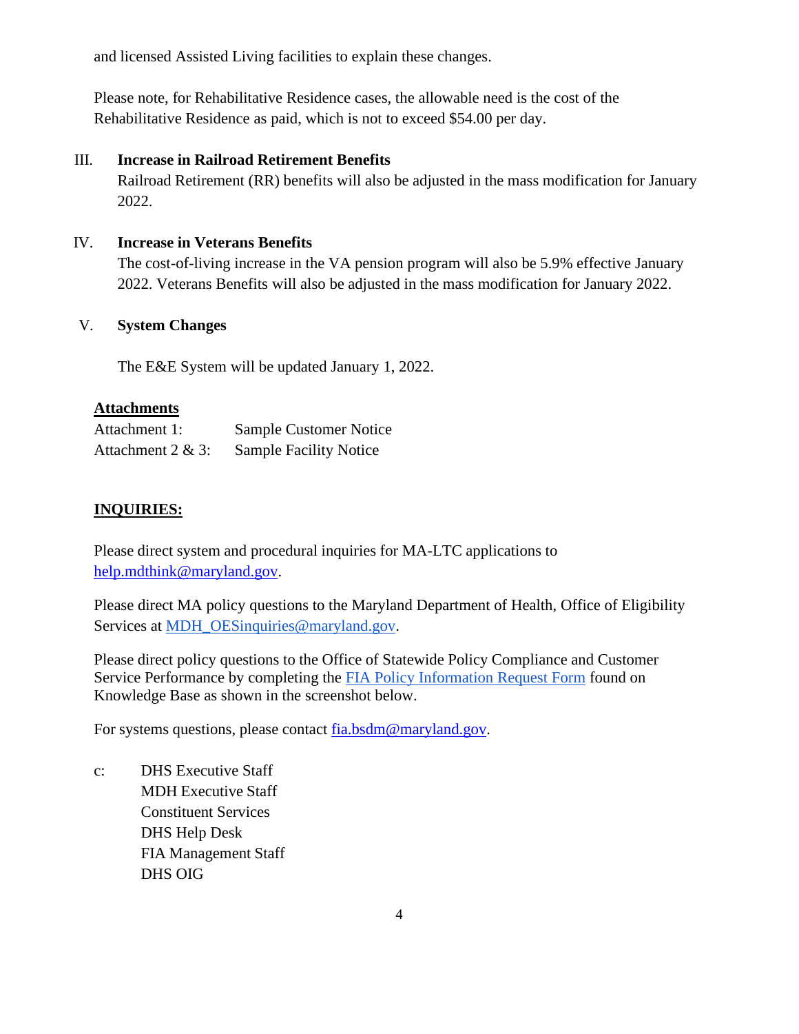and licensed Assisted Living facilities to explain these changes.

Please note, for Rehabilitative Residence cases, the allowable need is the cost of the Rehabilitative Residence as paid, which is not to exceed \$54.00 per day.

#### III. **Increase in Railroad Retirement Benefits**

Railroad Retirement (RR) benefits will also be adjusted in the mass modification for January 2022.

### IV. **Increase in Veterans Benefits**

The cost-of-living increase in the VA pension program will also be 5.9% effective January 2022. Veterans Benefits will also be adjusted in the mass modification for January 2022.

### V. **System Changes**

The E&E System will be updated January 1, 2022.

### **Attachments**

| Attachment 1:        | <b>Sample Customer Notice</b> |
|----------------------|-------------------------------|
| Attachment $2 & 3$ : | <b>Sample Facility Notice</b> |

## **INQUIRIES:**

Please direct system and procedural inquiries for MA-LTC applications to [help.mdthink@maryland.gov.](mailto:help.mdthink@maryland.gov)

Please direct MA policy questions to the Maryland Department of Health, Office of Eligibility Services at [MDH\\_OESinquiries@maryland.gov.](mailto:MDH_OESinquiries@maryland.gov)

Please direct policy questions to the Office of Statewide Policy Compliance and Customer Service Performance by completing the [FIA Policy Information Request Form](https://kb.dhs.maryland.gov/family-investment-administration/contact-us-with-your-fia-program-eligibility-policy-question/) found on Knowledge Base as shown in the screenshot below.

For systems questions, please contact [fia.bsdm@maryland.gov.](mailto:fia.bsdm@maryland.gov)

c: DHS Executive Staff MDH Executive Staff Constituent Services DHS Help Desk FIA Management Staff DHS OIG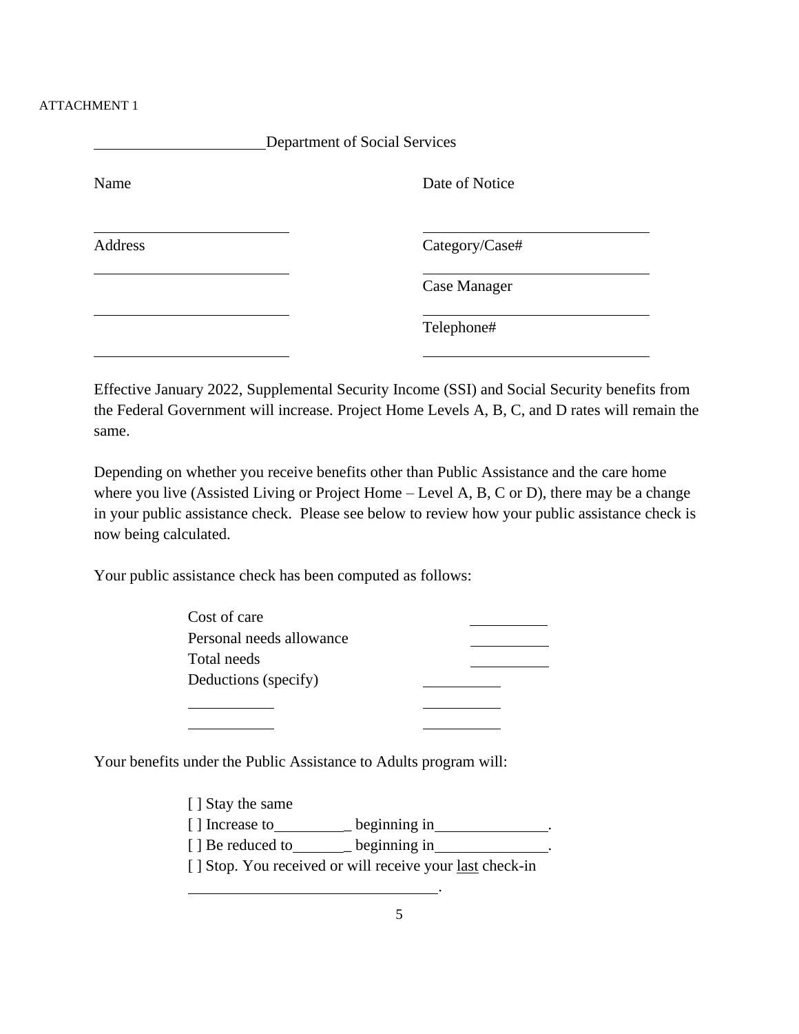#### ATTACHMENT 1

| Department of Social Services |                |  |
|-------------------------------|----------------|--|
| Name                          | Date of Notice |  |
| Address                       | Category/Case# |  |
|                               | Case Manager   |  |
|                               | Telephone#     |  |

Effective January 2022, Supplemental Security Income (SSI) and Social Security benefits from the Federal Government will increase. Project Home Levels A, B, C, and D rates will remain the same.

Depending on whether you receive benefits other than Public Assistance and the care home where you live (Assisted Living or Project Home – Level A, B, C or D), there may be a change in your public assistance check. Please see below to review how your public assistance check is now being calculated.

Your public assistance check has been computed as follows:

| Cost of care             |  |
|--------------------------|--|
| Personal needs allowance |  |
| Total needs              |  |
| Deductions (specify)     |  |
|                          |  |

Your benefits under the Public Assistance to Adults program will:

| [ ] Stay the same |                                                                 |
|-------------------|-----------------------------------------------------------------|
| [] Increase to    | beginning in                                                    |
| [ ] Be reduced to | beginning in                                                    |
|                   | [] Stop. You received or will receive your <u>last</u> check-in |
|                   |                                                                 |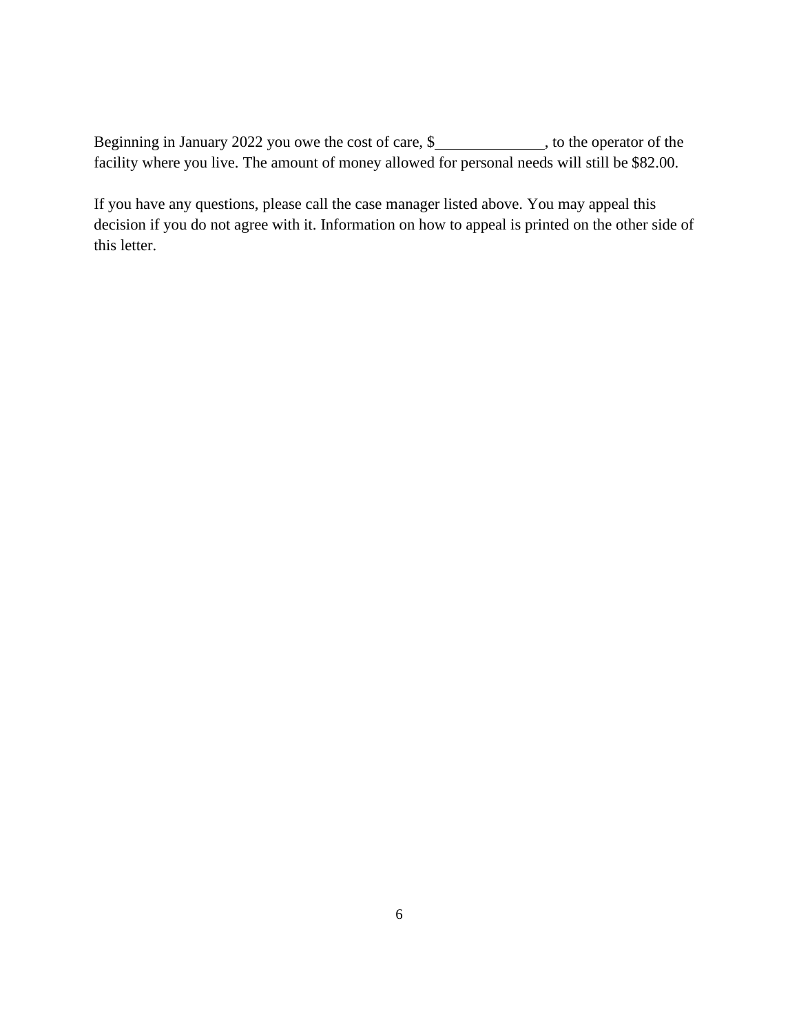Beginning in January 2022 you owe the cost of care, \$\_\_\_\_\_\_\_\_\_\_\_\_\_, to the operator of the facility where you live. The amount of money allowed for personal needs will still be \$82.00.

If you have any questions, please call the case manager listed above. You may appeal this decision if you do not agree with it. Information on how to appeal is printed on the other side of this letter.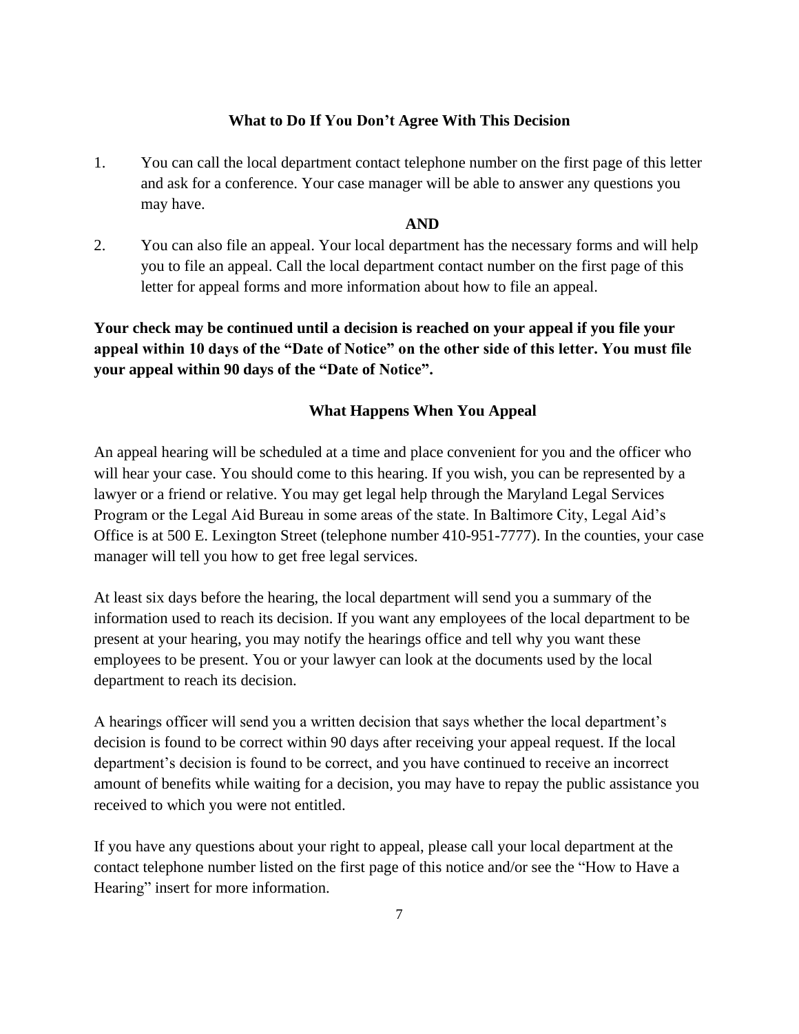#### **What to Do If You Don't Agree With This Decision**

1. You can call the local department contact telephone number on the first page of this letter and ask for a conference. Your case manager will be able to answer any questions you may have.

#### **AND**

2. You can also file an appeal. Your local department has the necessary forms and will help you to file an appeal. Call the local department contact number on the first page of this letter for appeal forms and more information about how to file an appeal.

**Your check may be continued until a decision is reached on your appeal if you file your appeal within 10 days of the "Date of Notice" on the other side of this letter. You must file your appeal within 90 days of the "Date of Notice".**

#### **What Happens When You Appeal**

An appeal hearing will be scheduled at a time and place convenient for you and the officer who will hear your case. You should come to this hearing. If you wish, you can be represented by a lawyer or a friend or relative. You may get legal help through the Maryland Legal Services Program or the Legal Aid Bureau in some areas of the state. In Baltimore City, Legal Aid's Office is at 500 E. Lexington Street (telephone number 410-951-7777). In the counties, your case manager will tell you how to get free legal services.

At least six days before the hearing, the local department will send you a summary of the information used to reach its decision. If you want any employees of the local department to be present at your hearing, you may notify the hearings office and tell why you want these employees to be present. You or your lawyer can look at the documents used by the local department to reach its decision.

A hearings officer will send you a written decision that says whether the local department's decision is found to be correct within 90 days after receiving your appeal request. If the local department's decision is found to be correct, and you have continued to receive an incorrect amount of benefits while waiting for a decision, you may have to repay the public assistance you received to which you were not entitled.

If you have any questions about your right to appeal, please call your local department at the contact telephone number listed on the first page of this notice and/or see the "How to Have a Hearing" insert for more information.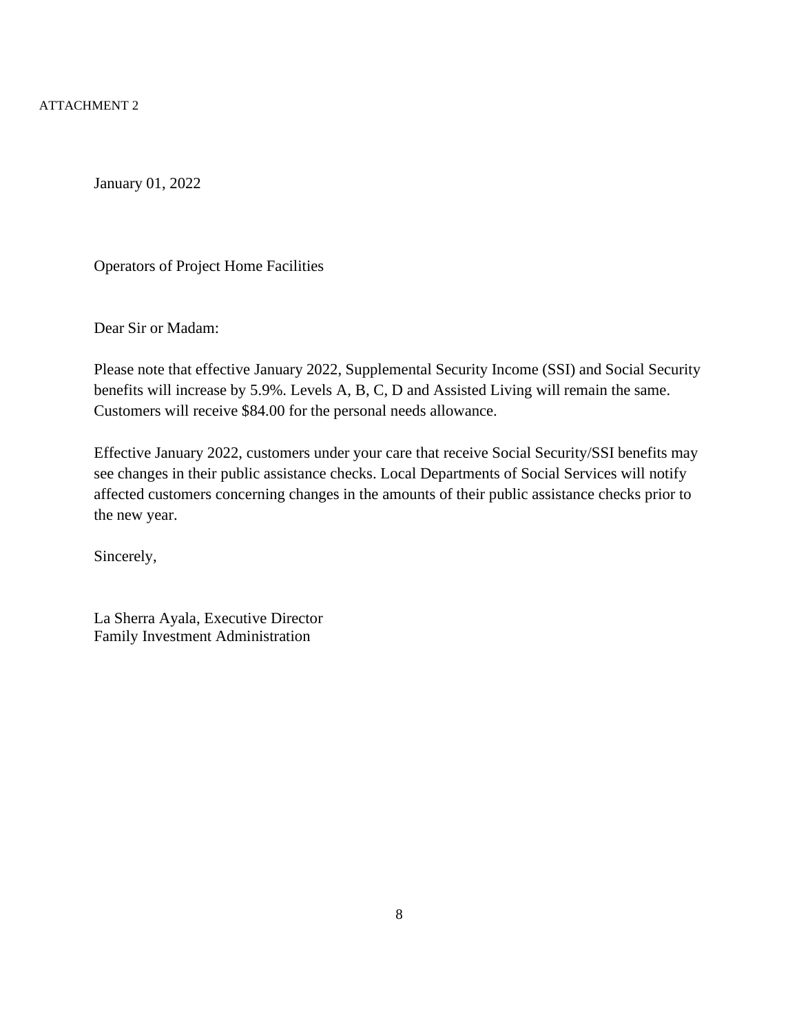ATTACHMENT 2

January 01, 2022

Operators of Project Home Facilities

Dear Sir or Madam:

Please note that effective January 2022, Supplemental Security Income (SSI) and Social Security benefits will increase by 5.9%. Levels A, B, C, D and Assisted Living will remain the same. Customers will receive \$84.00 for the personal needs allowance.

Effective January 2022, customers under your care that receive Social Security/SSI benefits may see changes in their public assistance checks. Local Departments of Social Services will notify affected customers concerning changes in the amounts of their public assistance checks prior to the new year.

Sincerely,

La Sherra Ayala, Executive Director Family Investment Administration